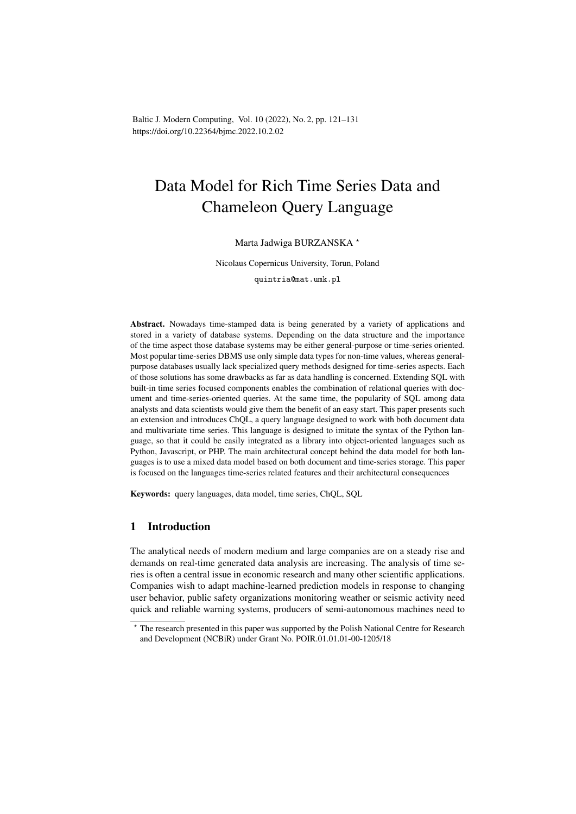Baltic J. Modern Computing, Vol. 10 (2022), No. 2, pp. 121–131 https://doi.org/10.22364/bjmc.2022.10.2.02

# Data Model for Rich Time Series Data and Chameleon Query Language

## Marta Jadwiga BURZANSKA ?

Nicolaus Copernicus University, Torun, Poland

quintria@mat.umk.pl

Abstract. Nowadays time-stamped data is being generated by a variety of applications and stored in a variety of database systems. Depending on the data structure and the importance of the time aspect those database systems may be either general-purpose or time-series oriented. Most popular time-series DBMS use only simple data types for non-time values, whereas generalpurpose databases usually lack specialized query methods designed for time-series aspects. Each of those solutions has some drawbacks as far as data handling is concerned. Extending SQL with built-in time series focused components enables the combination of relational queries with document and time-series-oriented queries. At the same time, the popularity of SQL among data analysts and data scientists would give them the benefit of an easy start. This paper presents such an extension and introduces ChQL, a query language designed to work with both document data and multivariate time series. This language is designed to imitate the syntax of the Python language, so that it could be easily integrated as a library into object-oriented languages such as Python, Javascript, or PHP. The main architectural concept behind the data model for both languages is to use a mixed data model based on both document and time-series storage. This paper is focused on the languages time-series related features and their architectural consequences

Keywords: query languages, data model, time series, ChQL, SQL

# 1 Introduction

The analytical needs of modern medium and large companies are on a steady rise and demands on real-time generated data analysis are increasing. The analysis of time series is often a central issue in economic research and many other scientific applications. Companies wish to adapt machine-learned prediction models in response to changing user behavior, public safety organizations monitoring weather or seismic activity need quick and reliable warning systems, producers of semi-autonomous machines need to

<sup>?</sup> The research presented in this paper was supported by the Polish National Centre for Research and Development (NCBiR) under Grant No. POIR.01.01.01-00-1205/18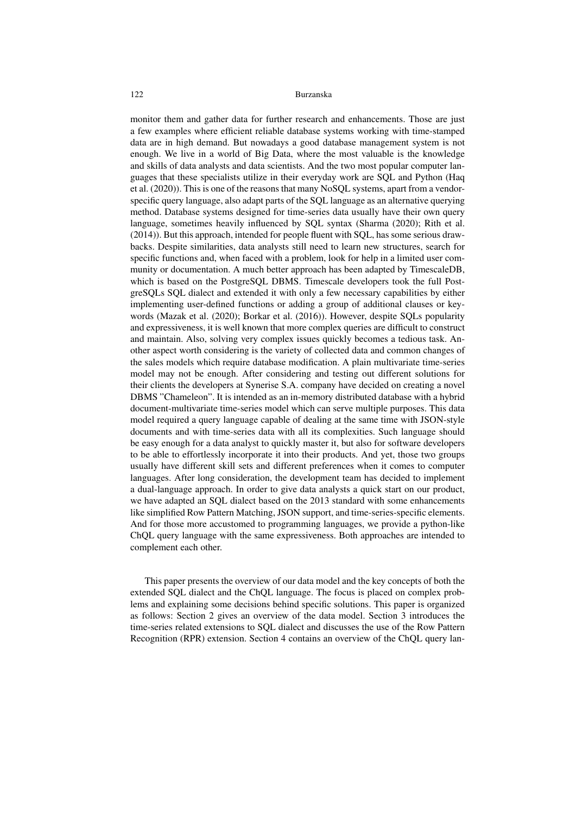monitor them and gather data for further research and enhancements. Those are just a few examples where efficient reliable database systems working with time-stamped data are in high demand. But nowadays a good database management system is not enough. We live in a world of Big Data, where the most valuable is the knowledge and skills of data analysts and data scientists. And the two most popular computer languages that these specialists utilize in their everyday work are SQL and Python (Haq et al. (2020)). This is one of the reasons that many NoSQL systems, apart from a vendorspecific query language, also adapt parts of the SQL language as an alternative querying method. Database systems designed for time-series data usually have their own query language, sometimes heavily influenced by SQL syntax (Sharma (2020); Rith et al. (2014)). But this approach, intended for people fluent with SQL, has some serious drawbacks. Despite similarities, data analysts still need to learn new structures, search for specific functions and, when faced with a problem, look for help in a limited user community or documentation. A much better approach has been adapted by TimescaleDB, which is based on the PostgreSQL DBMS. Timescale developers took the full PostgreSQLs SQL dialect and extended it with only a few necessary capabilities by either implementing user-defined functions or adding a group of additional clauses or keywords (Mazak et al. (2020); Borkar et al. (2016)). However, despite SQLs popularity and expressiveness, it is well known that more complex queries are difficult to construct and maintain. Also, solving very complex issues quickly becomes a tedious task. Another aspect worth considering is the variety of collected data and common changes of the sales models which require database modification. A plain multivariate time-series model may not be enough. After considering and testing out different solutions for their clients the developers at Synerise S.A. company have decided on creating a novel DBMS "Chameleon". It is intended as an in-memory distributed database with a hybrid document-multivariate time-series model which can serve multiple purposes. This data model required a query language capable of dealing at the same time with JSON-style documents and with time-series data with all its complexities. Such language should be easy enough for a data analyst to quickly master it, but also for software developers to be able to effortlessly incorporate it into their products. And yet, those two groups usually have different skill sets and different preferences when it comes to computer languages. After long consideration, the development team has decided to implement a dual-language approach. In order to give data analysts a quick start on our product, we have adapted an SQL dialect based on the 2013 standard with some enhancements like simplified Row Pattern Matching, JSON support, and time-series-specific elements. And for those more accustomed to programming languages, we provide a python-like ChQL query language with the same expressiveness. Both approaches are intended to complement each other.

This paper presents the overview of our data model and the key concepts of both the extended SQL dialect and the ChQL language. The focus is placed on complex problems and explaining some decisions behind specific solutions. This paper is organized as follows: Section 2 gives an overview of the data model. Section 3 introduces the time-series related extensions to SQL dialect and discusses the use of the Row Pattern Recognition (RPR) extension. Section 4 contains an overview of the ChQL query lan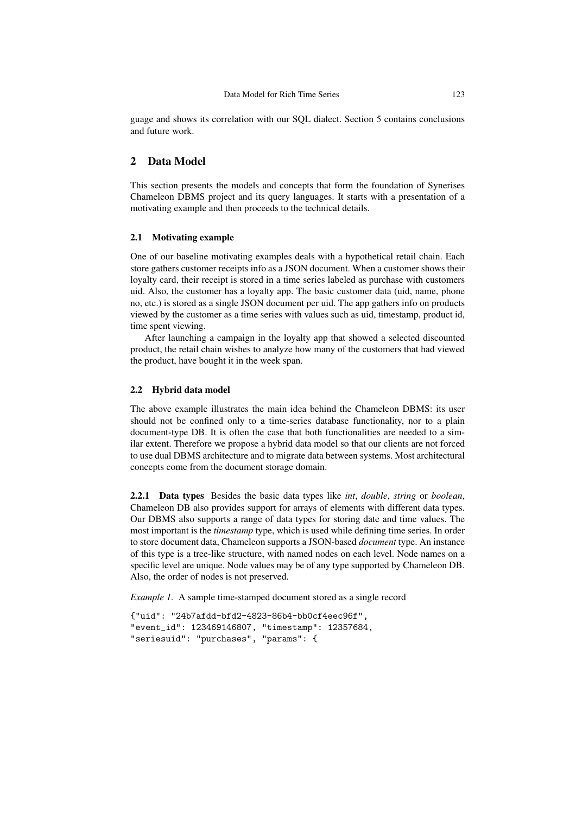guage and shows its correlation with our SQL dialect. Section 5 contains conclusions and future work.

# 2 Data Model

This section presents the models and concepts that form the foundation of Synerises Chameleon DBMS project and its query languages. It starts with a presentation of a motivating example and then proceeds to the technical details.

## 2.1 Motivating example

One of our baseline motivating examples deals with a hypothetical retail chain. Each store gathers customer receipts info as a JSON document. When a customer shows their loyalty card, their receipt is stored in a time series labeled as purchase with customers uid. Also, the customer has a loyalty app. The basic customer data (uid, name, phone no, etc.) is stored as a single JSON document per uid. The app gathers info on products viewed by the customer as a time series with values such as uid, timestamp, product id, time spent viewing.

After launching a campaign in the loyalty app that showed a selected discounted product, the retail chain wishes to analyze how many of the customers that had viewed the product, have bought it in the week span.

## 2.2 Hybrid data model

The above example illustrates the main idea behind the Chameleon DBMS: its user should not be confined only to a time-series database functionality, nor to a plain document-type DB. It is often the case that both functionalities are needed to a similar extent. Therefore we propose a hybrid data model so that our clients are not forced to use dual DBMS architecture and to migrate data between systems. Most architectural concepts come from the document storage domain.

2.2.1 Data types Besides the basic data types like *int*, *double*, *string* or *boolean*, Chameleon DB also provides support for arrays of elements with different data types. Our DBMS also supports a range of data types for storing date and time values. The most important is the *timestamp* type, which is used while defining time series. In order to store document data, Chameleon supports a JSON-based *document* type. An instance of this type is a tree-like structure, with named nodes on each level. Node names on a specific level are unique. Node values may be of any type supported by Chameleon DB. Also, the order of nodes is not preserved.

*Example 1.* A sample time-stamped document stored as a single record

```
{"uid": "24b7afdd-bfd2-4823-86b4-bb0cf4eec96f",
"event_id": 123469146807, "timestamp": 12357684,
"seriesuid": "purchases", "params": {
```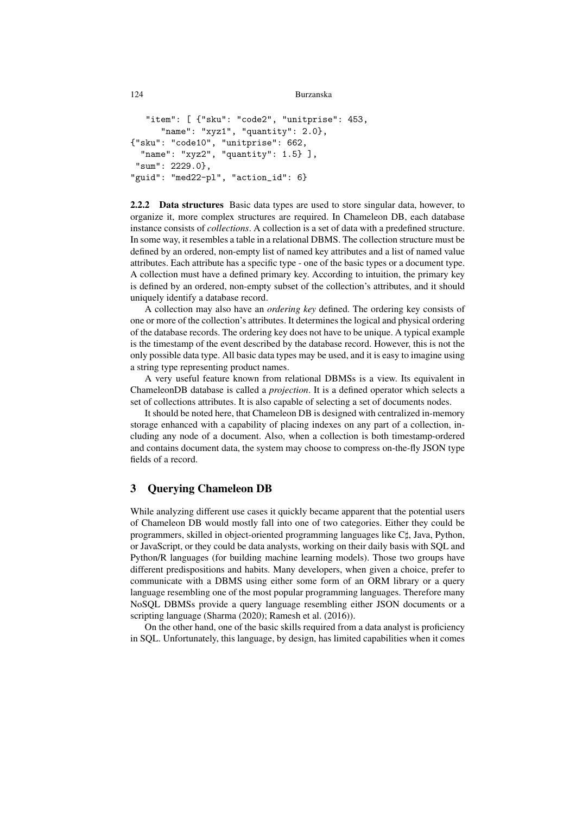```
124 Burzanska
```

```
"item": [ {"sku": "code2", "unitprise": 453,
      "name": "xyz1", "quantity": 2.0},
{"sku": "code10", "unitprise": 662,
 "name": "xyz2", "quantity": 1.5} ],
 "sum": 2229.0},
"guid": "med22-pl", "action_id": 6}
```
2.2.2 Data structures Basic data types are used to store singular data, however, to organize it, more complex structures are required. In Chameleon DB, each database instance consists of *collections*. A collection is a set of data with a predefined structure. In some way, it resembles a table in a relational DBMS. The collection structure must be defined by an ordered, non-empty list of named key attributes and a list of named value attributes. Each attribute has a specific type - one of the basic types or a document type. A collection must have a defined primary key. According to intuition, the primary key is defined by an ordered, non-empty subset of the collection's attributes, and it should uniquely identify a database record.

A collection may also have an *ordering key* defined. The ordering key consists of one or more of the collection's attributes. It determines the logical and physical ordering of the database records. The ordering key does not have to be unique. A typical example is the timestamp of the event described by the database record. However, this is not the only possible data type. All basic data types may be used, and it is easy to imagine using a string type representing product names.

A very useful feature known from relational DBMSs is a view. Its equivalent in ChameleonDB database is called a *projection*. It is a defined operator which selects a set of collections attributes. It is also capable of selecting a set of documents nodes.

It should be noted here, that Chameleon DB is designed with centralized in-memory storage enhanced with a capability of placing indexes on any part of a collection, including any node of a document. Also, when a collection is both timestamp-ordered and contains document data, the system may choose to compress on-the-fly JSON type fields of a record.

# 3 Querying Chameleon DB

While analyzing different use cases it quickly became apparent that the potential users of Chameleon DB would mostly fall into one of two categories. Either they could be programmers, skilled in object-oriented programming languages like C], Java, Python, or JavaScript, or they could be data analysts, working on their daily basis with SQL and Python/R languages (for building machine learning models). Those two groups have different predispositions and habits. Many developers, when given a choice, prefer to communicate with a DBMS using either some form of an ORM library or a query language resembling one of the most popular programming languages. Therefore many NoSQL DBMSs provide a query language resembling either JSON documents or a scripting language (Sharma (2020); Ramesh et al. (2016)).

On the other hand, one of the basic skills required from a data analyst is proficiency in SQL. Unfortunately, this language, by design, has limited capabilities when it comes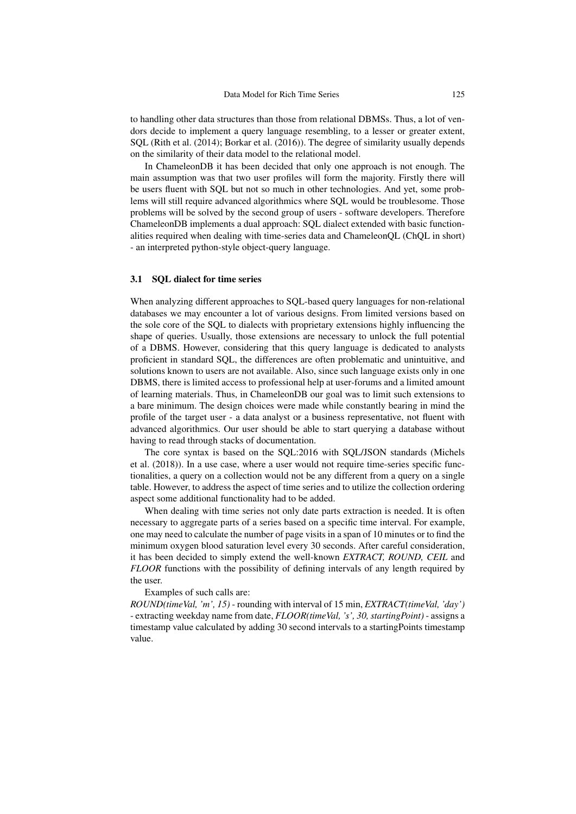to handling other data structures than those from relational DBMSs. Thus, a lot of vendors decide to implement a query language resembling, to a lesser or greater extent, SQL (Rith et al. (2014); Borkar et al. (2016)). The degree of similarity usually depends on the similarity of their data model to the relational model.

In ChameleonDB it has been decided that only one approach is not enough. The main assumption was that two user profiles will form the majority. Firstly there will be users fluent with SQL but not so much in other technologies. And yet, some problems will still require advanced algorithmics where SQL would be troublesome. Those problems will be solved by the second group of users - software developers. Therefore ChameleonDB implements a dual approach: SQL dialect extended with basic functionalities required when dealing with time-series data and ChameleonQL (ChQL in short) - an interpreted python-style object-query language.

# 3.1 SQL dialect for time series

When analyzing different approaches to SQL-based query languages for non-relational databases we may encounter a lot of various designs. From limited versions based on the sole core of the SQL to dialects with proprietary extensions highly influencing the shape of queries. Usually, those extensions are necessary to unlock the full potential of a DBMS. However, considering that this query language is dedicated to analysts proficient in standard SQL, the differences are often problematic and unintuitive, and solutions known to users are not available. Also, since such language exists only in one DBMS, there is limited access to professional help at user-forums and a limited amount of learning materials. Thus, in ChameleonDB our goal was to limit such extensions to a bare minimum. The design choices were made while constantly bearing in mind the profile of the target user - a data analyst or a business representative, not fluent with advanced algorithmics. Our user should be able to start querying a database without having to read through stacks of documentation.

The core syntax is based on the SQL:2016 with SQL/JSON standards (Michels et al. (2018)). In a use case, where a user would not require time-series specific functionalities, a query on a collection would not be any different from a query on a single table. However, to address the aspect of time series and to utilize the collection ordering aspect some additional functionality had to be added.

When dealing with time series not only date parts extraction is needed. It is often necessary to aggregate parts of a series based on a specific time interval. For example, one may need to calculate the number of page visits in a span of 10 minutes or to find the minimum oxygen blood saturation level every 30 seconds. After careful consideration, it has been decided to simply extend the well-known *EXTRACT, ROUND, CEIL* and *FLOOR* functions with the possibility of defining intervals of any length required by the user.

#### Examples of such calls are:

*ROUND(timeVal, 'm', 15)* - rounding with interval of 15 min, *EXTRACT(timeVal, 'day')* - extracting weekday name from date, *FLOOR(timeVal, 's', 30, startingPoint)* - assigns a timestamp value calculated by adding 30 second intervals to a startingPoints timestamp value.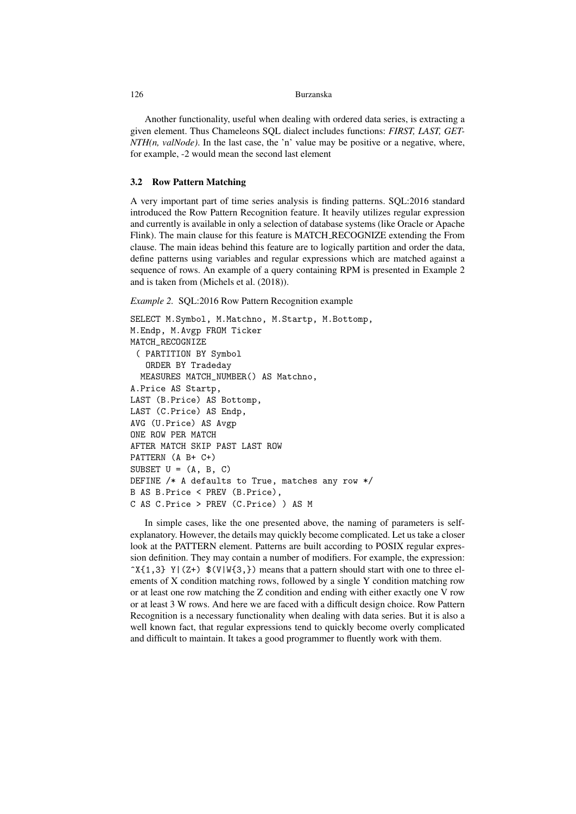Another functionality, useful when dealing with ordered data series, is extracting a given element. Thus Chameleons SQL dialect includes functions: *FIRST, LAST, GET-NTH(n, valNode)*. In the last case, the 'n' value may be positive or a negative, where, for example, -2 would mean the second last element

#### 3.2 Row Pattern Matching

A very important part of time series analysis is finding patterns. SQL:2016 standard introduced the Row Pattern Recognition feature. It heavily utilizes regular expression and currently is available in only a selection of database systems (like Oracle or Apache Flink). The main clause for this feature is MATCH RECOGNIZE extending the From clause. The main ideas behind this feature are to logically partition and order the data, define patterns using variables and regular expressions which are matched against a sequence of rows. An example of a query containing RPM is presented in Example 2 and is taken from (Michels et al. (2018)).

*Example 2.* SQL:2016 Row Pattern Recognition example

```
SELECT M.Symbol, M.Matchno, M.Startp, M.Bottomp,
M.Endp, M.Avgp FROM Ticker
MATCH_RECOGNIZE
 ( PARTITION BY Symbol
   ORDER BY Tradeday
  MEASURES MATCH_NUMBER() AS Matchno,
A.Price AS Startp,
LAST (B.Price) AS Bottomp,
LAST (C.Price) AS Endp,
AVG (U.Price) AS Avgp
ONE ROW PER MATCH
AFTER MATCH SKIP PAST LAST ROW
PATTERN (A B+ C+)
SUBSET U = (A, B, C)DEFINE /* A defaults to True, matches any row */
B AS B.Price < PREV (B.Price),
C AS C.Price > PREV (C.Price) ) AS M
```
In simple cases, like the one presented above, the naming of parameters is selfexplanatory. However, the details may quickly become complicated. Let us take a closer look at the PATTERN element. Patterns are built according to POSIX regular expression definition. They may contain a number of modifiers. For example, the expression:  $\gamma$ {1,3} Y|(Z+)  $\gamma$ (V|W{3, }) means that a pattern should start with one to three elements of X condition matching rows, followed by a single Y condition matching row or at least one row matching the Z condition and ending with either exactly one V row or at least 3 W rows. And here we are faced with a difficult design choice. Row Pattern Recognition is a necessary functionality when dealing with data series. But it is also a well known fact, that regular expressions tend to quickly become overly complicated and difficult to maintain. It takes a good programmer to fluently work with them.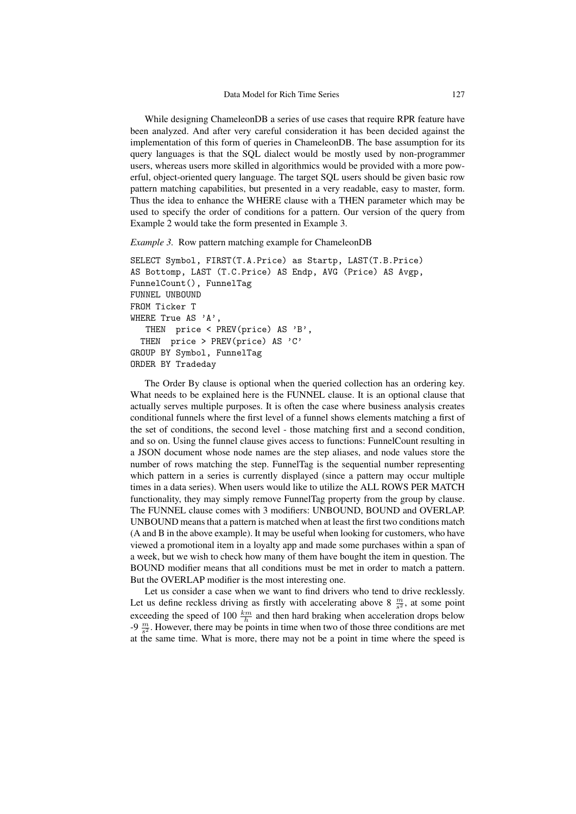While designing ChameleonDB a series of use cases that require RPR feature have been analyzed. And after very careful consideration it has been decided against the implementation of this form of queries in ChameleonDB. The base assumption for its query languages is that the SQL dialect would be mostly used by non-programmer users, whereas users more skilled in algorithmics would be provided with a more powerful, object-oriented query language. The target SQL users should be given basic row pattern matching capabilities, but presented in a very readable, easy to master, form. Thus the idea to enhance the WHERE clause with a THEN parameter which may be used to specify the order of conditions for a pattern. Our version of the query from Example 2 would take the form presented in Example 3.

#### *Example 3.* Row pattern matching example for ChameleonDB

```
SELECT Symbol, FIRST(T.A.Price) as Startp, LAST(T.B.Price)
AS Bottomp, LAST (T.C.Price) AS Endp, AVG (Price) AS Avgp,
FunnelCount(), FunnelTag
FUNNEL UNBOUND
FROM Ticker T
WHERE True AS 'A',
   THEN price < PREV(price) AS 'B',
  THEN price > PREV(price) AS 'C'
GROUP BY Symbol, FunnelTag
ORDER BY Tradeday
```
The Order By clause is optional when the queried collection has an ordering key. What needs to be explained here is the FUNNEL clause. It is an optional clause that actually serves multiple purposes. It is often the case where business analysis creates conditional funnels where the first level of a funnel shows elements matching a first of the set of conditions, the second level - those matching first and a second condition, and so on. Using the funnel clause gives access to functions: FunnelCount resulting in a JSON document whose node names are the step aliases, and node values store the number of rows matching the step. FunnelTag is the sequential number representing which pattern in a series is currently displayed (since a pattern may occur multiple times in a data series). When users would like to utilize the ALL ROWS PER MATCH functionality, they may simply remove FunnelTag property from the group by clause. The FUNNEL clause comes with 3 modifiers: UNBOUND, BOUND and OVERLAP. UNBOUND means that a pattern is matched when at least the first two conditions match (A and B in the above example). It may be useful when looking for customers, who have viewed a promotional item in a loyalty app and made some purchases within a span of a week, but we wish to check how many of them have bought the item in question. The BOUND modifier means that all conditions must be met in order to match a pattern. But the OVERLAP modifier is the most interesting one.

Let us consider a case when we want to find drivers who tend to drive recklessly. Let us define reckless driving as firstly with accelerating above 8  $\frac{m}{s^2}$ , at some point exceeding the speed of 100  $\frac{km}{h}$  and then hard braking when acceleration drops below -9  $\frac{m}{s^2}$ . However, there may be points in time when two of those three conditions are met at the same time. What is more, there may not be a point in time where the speed is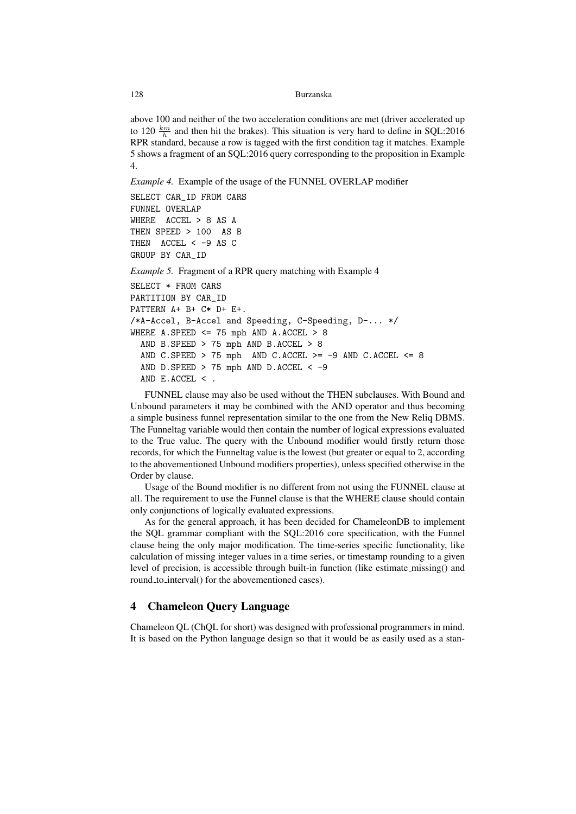above 100 and neither of the two acceleration conditions are met (driver accelerated up to 120  $\frac{km}{h}$  and then hit the brakes). This situation is very hard to define in SQL:2016 RPR standard, because a row is tagged with the first condition tag it matches. Example 5 shows a fragment of an SQL:2016 query corresponding to the proposition in Example 4.

*Example 4.* Example of the usage of the FUNNEL OVERLAP modifier

```
SELECT CAR_ID FROM CARS
FUNNEL OVERLAP
WHERE ACCEL > 8 AS A
THEN SPEED > 100 AS B
THEN ACCEL < -9 AS CGROUP BY CAR_ID
Example 5. Fragment of a RPR query matching with Example 4
SELECT * FROM CARS
PARTITION BY CAR_ID
PATTERN A+ B+ C* D+ E+.
/*A-Accel, B-Accel and Speeding, C-Speeding, D-... */
WHERE A. SPEED \leq 75 mph AND A. ACCEL > 8
  AND B.SPEED > 75 mph AND B.ACCEL > 8
  AND C.SPEED > 75 mph AND C.ACCEL >= -9 AND C.ACCEL <= 8
  AND D.SPEED > 75 mph AND D.ACCEL <-9AND E.ACCEL < .
```
FUNNEL clause may also be used without the THEN subclauses. With Bound and Unbound parameters it may be combined with the AND operator and thus becoming a simple business funnel representation similar to the one from the New Reliq DBMS. The Funneltag variable would then contain the number of logical expressions evaluated to the True value. The query with the Unbound modifier would firstly return those records, for which the Funneltag value is the lowest (but greater or equal to 2, according to the abovementioned Unbound modifiers properties), unless specified otherwise in the Order by clause.

Usage of the Bound modifier is no different from not using the FUNNEL clause at all. The requirement to use the Funnel clause is that the WHERE clause should contain only conjunctions of logically evaluated expressions.

As for the general approach, it has been decided for ChameleonDB to implement the SQL grammar compliant with the SQL:2016 core specification, with the Funnel clause being the only major modification. The time-series specific functionality, like calculation of missing integer values in a time series, or timestamp rounding to a given level of precision, is accessible through built-in function (like estimate missing() and round\_to\_interval() for the abovementioned cases).

# 4 Chameleon Query Language

Chameleon QL (ChQL for short) was designed with professional programmers in mind. It is based on the Python language design so that it would be as easily used as a stan-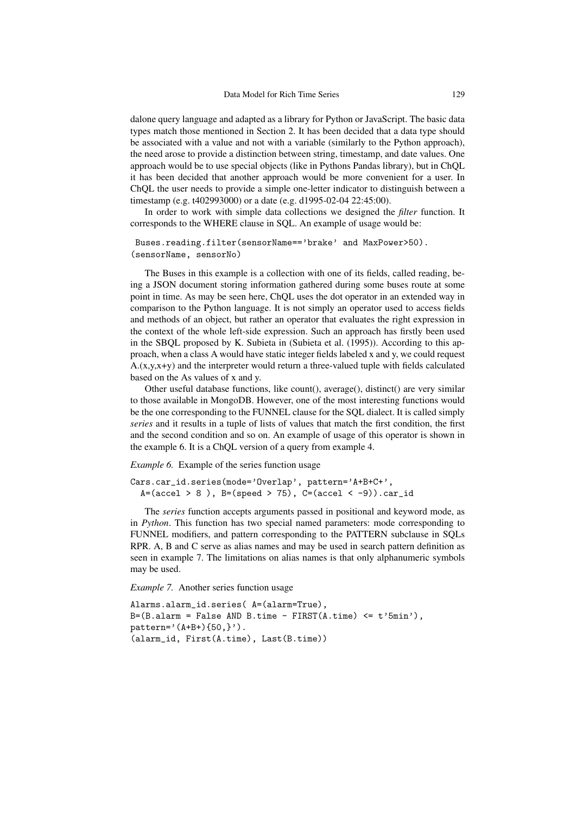dalone query language and adapted as a library for Python or JavaScript. The basic data types match those mentioned in Section 2. It has been decided that a data type should be associated with a value and not with a variable (similarly to the Python approach), the need arose to provide a distinction between string, timestamp, and date values. One approach would be to use special objects (like in Pythons Pandas library), but in ChQL it has been decided that another approach would be more convenient for a user. In ChQL the user needs to provide a simple one-letter indicator to distinguish between a timestamp (e.g. t402993000) or a date (e.g. d1995-02-04 22:45:00).

In order to work with simple data collections we designed the *filter* function. It corresponds to the WHERE clause in SQL. An example of usage would be:

```
Buses.reading.filter(sensorName=='brake' and MaxPower>50).
(sensorName, sensorNo)
```
The Buses in this example is a collection with one of its fields, called reading, being a JSON document storing information gathered during some buses route at some point in time. As may be seen here, ChQL uses the dot operator in an extended way in comparison to the Python language. It is not simply an operator used to access fields and methods of an object, but rather an operator that evaluates the right expression in the context of the whole left-side expression. Such an approach has firstly been used in the SBQL proposed by K. Subieta in (Subieta et al. (1995)). According to this approach, when a class A would have static integer fields labeled x and y, we could request  $A(x,y,x+y)$  and the interpreter would return a three-valued tuple with fields calculated based on the As values of x and y.

Other useful database functions, like count(), average(), distinct() are very similar to those available in MongoDB. However, one of the most interesting functions would be the one corresponding to the FUNNEL clause for the SQL dialect. It is called simply *series* and it results in a tuple of lists of values that match the first condition, the first and the second condition and so on. An example of usage of this operator is shown in the example 6. It is a ChQL version of a query from example 4.

*Example 6.* Example of the series function usage

```
Cars.car_id.series(mode='Overlap', pattern='A+B+C+',
  A=(\text{accel} > 8), B=(\text{speed} > 75), C=(\text{accel} < -9)).car_id
```
The *series* function accepts arguments passed in positional and keyword mode, as in *Python*. This function has two special named parameters: mode corresponding to FUNNEL modifiers, and pattern corresponding to the PATTERN subclause in SQLs RPR. A, B and C serve as alias names and may be used in search pattern definition as seen in example 7. The limitations on alias names is that only alphanumeric symbols may be used.

*Example 7.* Another series function usage

```
Alarms.alarm_id.series( A=(alarm=True),
B=(B.alarm = False AND B.time - FIRST(A.time) \leq t'5min'),
pattern=' (A+B+) {50,}').
(alarm_id, First(A.time), Last(B.time))
```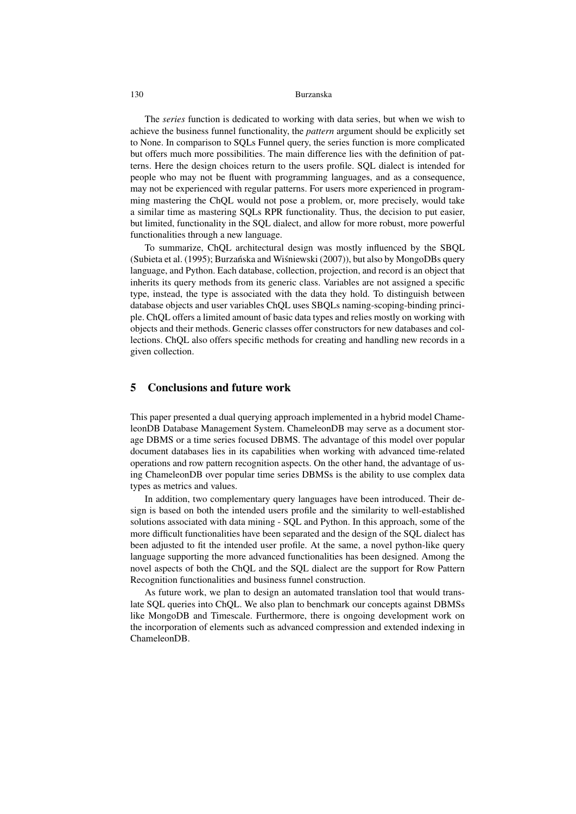The *series* function is dedicated to working with data series, but when we wish to achieve the business funnel functionality, the *pattern* argument should be explicitly set to None. In comparison to SQLs Funnel query, the series function is more complicated but offers much more possibilities. The main difference lies with the definition of patterns. Here the design choices return to the users profile. SQL dialect is intended for people who may not be fluent with programming languages, and as a consequence, may not be experienced with regular patterns. For users more experienced in programming mastering the ChQL would not pose a problem, or, more precisely, would take a similar time as mastering SQLs RPR functionality. Thus, the decision to put easier, but limited, functionality in the SQL dialect, and allow for more robust, more powerful functionalities through a new language.

To summarize, ChQL architectural design was mostly influenced by the SBQL (Subieta et al. (1995); Burzańska and Wiśniewski (2007)), but also by MongoDBs query language, and Python. Each database, collection, projection, and record is an object that inherits its query methods from its generic class. Variables are not assigned a specific type, instead, the type is associated with the data they hold. To distinguish between database objects and user variables ChQL uses SBQLs naming-scoping-binding principle. ChQL offers a limited amount of basic data types and relies mostly on working with objects and their methods. Generic classes offer constructors for new databases and collections. ChQL also offers specific methods for creating and handling new records in a given collection.

## 5 Conclusions and future work

This paper presented a dual querying approach implemented in a hybrid model ChameleonDB Database Management System. ChameleonDB may serve as a document storage DBMS or a time series focused DBMS. The advantage of this model over popular document databases lies in its capabilities when working with advanced time-related operations and row pattern recognition aspects. On the other hand, the advantage of using ChameleonDB over popular time series DBMSs is the ability to use complex data types as metrics and values.

In addition, two complementary query languages have been introduced. Their design is based on both the intended users profile and the similarity to well-established solutions associated with data mining - SQL and Python. In this approach, some of the more difficult functionalities have been separated and the design of the SQL dialect has been adjusted to fit the intended user profile. At the same, a novel python-like query language supporting the more advanced functionalities has been designed. Among the novel aspects of both the ChQL and the SQL dialect are the support for Row Pattern Recognition functionalities and business funnel construction.

As future work, we plan to design an automated translation tool that would translate SQL queries into ChQL. We also plan to benchmark our concepts against DBMSs like MongoDB and Timescale. Furthermore, there is ongoing development work on the incorporation of elements such as advanced compression and extended indexing in ChameleonDB.